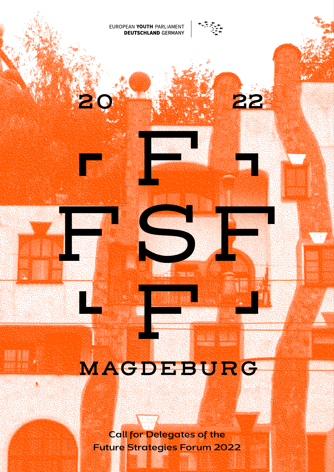EUROPEAN YOUTH PARLIAMENT **DEUTSCHLAND GERMANY** 

22

# MAGDEBURG

**Call for Delegates of the Future Strategies Forum 2022**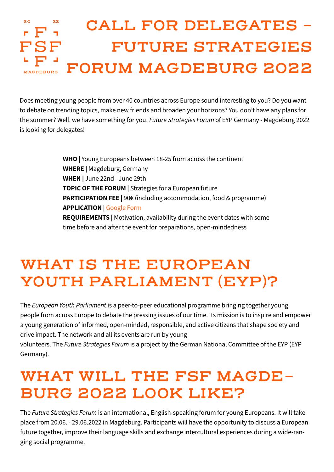#### 20 22 **CALL FOR DELEGATES -**  FSF **FUTURE STRATEGIES FORUM MAGDEBURG 2022 MAGDEBURG**

Does meeting young people from over 40 countries across Europe sound interesting to you? Do you want to debate on trending topics, make new friends and broaden your horizons? You don't have any plans for the summer? Well, we have something for you! *Future Strategies Forum* of EYP Germany - Magdeburg 2022 is looking for delegates!

> **WHO |** Young Europeans between 18-25 from across the continent **WHERE |** Magdeburg, Germany **WHEN |** June 22nd - June 29th **TOPIC OF THE FORUM |** Strategies for a European future **PARTICIPATION FEE** | 90€ (including accommodation, food & programme) **APPLICATION |** [Google Form](https://forms.gle/eBgmrKXczzqimSZh8) **REQUIREMENTS |** Motivation, availability during the event dates with some time before and after the event for preparations, open-mindedness

### **WHAT IS THE EUROPEAN YOUTH PARLIAMENT (EYP)?**

The *European Youth Parliament* is a peer-to-peer educational programme bringing together young people from across Europe to debate the pressing issues of our time. Its mission is to inspire and empower a young generation of informed, open-minded, responsible, and active citizens that shape society and drive impact. The network and all its events are run by young

volunteers. The *Future Strategies Forum* is a project by the German National Committee of the EYP (EYP Germany).

## **WHAT WILL THE FSF MAGDE-BURG 2022 LOOK LIKE?**

The *Future Strategies Forum* is an international, English-speaking forum for young Europeans. It will take place from 20.06. - 29.06.2022 in Magdeburg. Participants will have the opportunity to discuss a European future together, improve their language skills and exchange intercultural experiences during a wide-ranging social programme.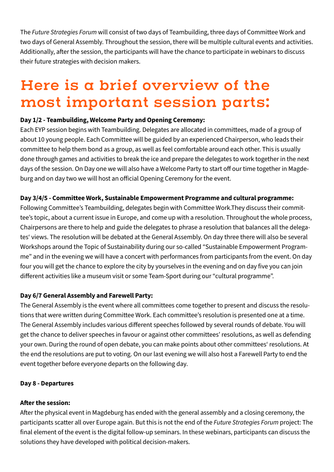The *Future Strategies Forum* will consist of two days of Teambuilding, three days of Committee Work and two days of General Assembly. Throughout the session, there will be multiple cultural events and activities. Additionally, after the session, the participants will have the chance to participate in webinars to discuss their future strategies with decision makers.

### **Here is a brief overview of the most important session parts:**

#### **Day 1/2 - Teambuilding, Welcome Party and Opening Ceremony:**

Each EYP session begins with Teambuilding. Delegates are allocated in committees, made of a group of about 10 young people. Each Committee will be guided by an experienced Chairperson, who leads their committee to help them bond as a group, as well as feel comfortable around each other. This is usually done through games and activities to break the ice and prepare the delegates to work together in the next days of the session. On Day one we will also have a Welcome Party to start off our time together in Magdeburg and on day two we will host an official Opening Ceremony for the event.

#### **Day 3/4/5 - Committee Work, Sustainable Empowerment Programme and cultural programme:**

Following Committee's Teambuilding, delegates begin with Committee Work.They discuss their committee's topic, about a current issue in Europe, and come up with a resolution. Throughout the whole process, Chairpersons are there to help and guide the delegates to phrase a resolution that balances all the delegates' views. The resolution will be debated at the General Assembly. On day three there will also be several Workshops around the Topic of Sustainability during our so-called "Sustainable Empowerment Programme" and in the evening we will have a concert with performances from participants from the event. On day four you will get the chance to explore the city by yourselves in the evening and on day five you can join different activities like a museum visit or some Team-Sport during our "cultural programme".

#### **Day 6/7 General Assembly and Farewell Party:**

The General Assembly is the event where all committees come together to present and discuss the resolutions that were written during Committee Work. Each committee's resolution is presented one at a time. The General Assembly includes various different speeches followed by several rounds of debate. You will get the chance to deliver speeches in favour or against other committees' resolutions, as well as defending your own. During the round of open debate, you can make points about other committees' resolutions. At the end the resolutions are put to voting. On our last evening we will also host a Farewell Party to end the event together before everyone departs on the following day.

#### **Day 8 - Departures**

#### **After the session:**

After the physical event in Magdeburg has ended with the general assembly and a closing ceremony, the participants scatter all over Europe again. But this is not the end of the *Future Strategies Forum* project: The final element of the event is the digital follow-up seminars. In these webinars, participants can discuss the solutions they have developed with political decision-makers.